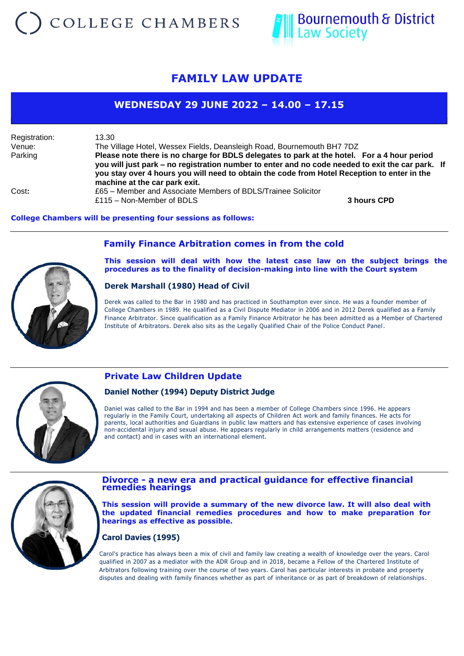# COLLEGE CHAMBERS



## **FAMILY LAW UPDATE**

## **WEDNESDAY 29 JUNE 2022 – 14.00 – 17.15**

Registration: 13.30 Venue: The Village Hotel, Wessex Fields, Deansleigh Road, Bournemouth BH7 7DZ Parking **Please note there is no charge for BDLS delegates to park at the hotel. For a 4 hour period you will just park – no registration number to enter and no code needed to exit the car park. If you stay over 4 hours you will need to obtain the code from Hotel Reception to enter in the machine at the car park exit.** Cost**:** £65 – Member and Associate Members of BDLS/Trainee Solicitor £115 – Non-Member of BDLS **3 hours CPD**

#### **College Chambers will be presenting four sessions as follows:**



### **Family Finance Arbitration comes in from the cold**

**This session will deal with how the latest case law on the subject brings the procedures as to the finality of decision-making into line with the Court system**

#### **Derek Marshall (1980) Head of Civil**

Derek was called to the Bar in 1980 and has practiced in Southampton ever since. He was a founder member of College Chambers in 1989. He qualified as a Civil Dispute Mediator in 2006 and in 2012 Derek qualified as a Family Finance Arbitrator. Since qualification as a Family Finance Arbitrator he has been admitted as a Member of Chartered Institute of Arbitrators. Derek also sits as the Legally Qualified Chair of the Police Conduct Panel .



## **Private Law Children Update**

#### **Daniel Nother (1994) Deputy District Judge**

Daniel was called to the Bar in 1994 and has been a member of College Chambers since 1996. He appears regularly in the Family Court, undertaking all aspects of Children Act work and family finances. He acts for parents, local authorities and Guardians in public law matters and has extensive experience of cases involving non-accidental injury and sexual abuse. He appears regularly in child arrangements matters (residence and and contact) and in cases with an international element.



#### **Divorce - a new era and practical guidance for effective financial remedies hearings**

**This session will provide a summary of the new divorce law. It will also deal with the updated financial remedies procedures and how to make preparation for hearings as effective as possible.**

#### **Carol Davies (1995)**

Carol's practice has always been a mix of civil and family law creating a wealth of knowledge over the years. Carol qualified in 2007 as a mediator with the ADR Group and in 2018, became a Fellow of the Chartered Institute of Arbitrators following training over the course of two years. Carol has particular interests in probate and property disputes and dealing with family finances whether as part of inheritance or as part of breakdown of relationships.